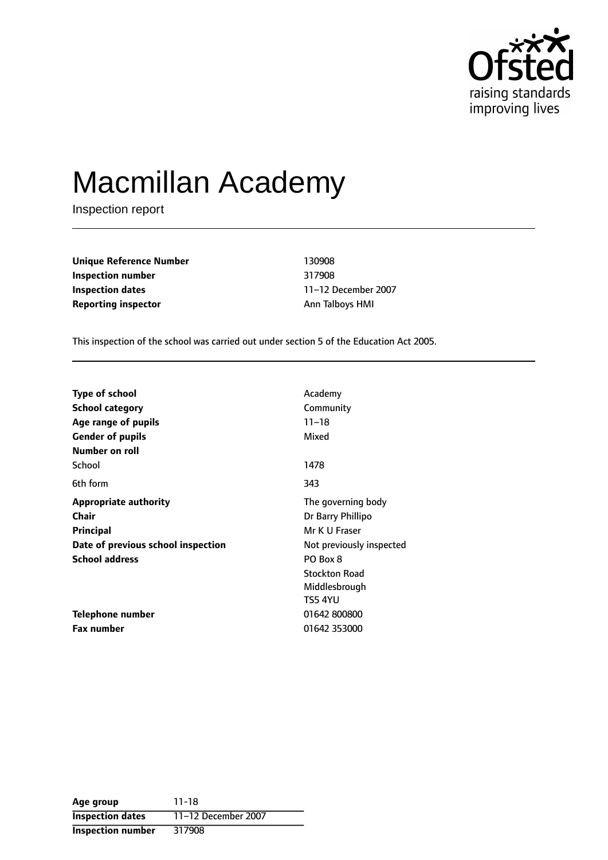

# Macmillan Academy

Inspection report

**Unique Reference Number** 130908 **Inspection number** 317908 **Inspection dates** 11-12 December 2007 **Reporting inspector** Ann Talboys HMI

This inspection of the school was carried out under section 5 of the Education Act 2005.

| <b>Type of school</b>              | Academy                  |  |
|------------------------------------|--------------------------|--|
| <b>School category</b>             | Community                |  |
| Age range of pupils                | $11 - 18$                |  |
| <b>Gender of pupils</b>            | Mixed                    |  |
| Number on roll                     |                          |  |
| School                             | 1478                     |  |
| 6th form                           | 343                      |  |
| <b>Appropriate authority</b>       | The governing body       |  |
| Chair                              | Dr Barry Phillipo        |  |
| <b>Principal</b>                   | Mr K U Fraser            |  |
| Date of previous school inspection | Not previously inspected |  |
| <b>School address</b>              | PO Box 8                 |  |
|                                    | <b>Stockton Road</b>     |  |
|                                    | Middlesbrough            |  |
|                                    | TS5 4YU                  |  |
| Telephone number                   | 01642800800              |  |
| <b>Fax number</b>                  | 01642 353000             |  |

**Age group** 11-18 **Inspection dates** 11-12 December 2007 **Inspection number** 317908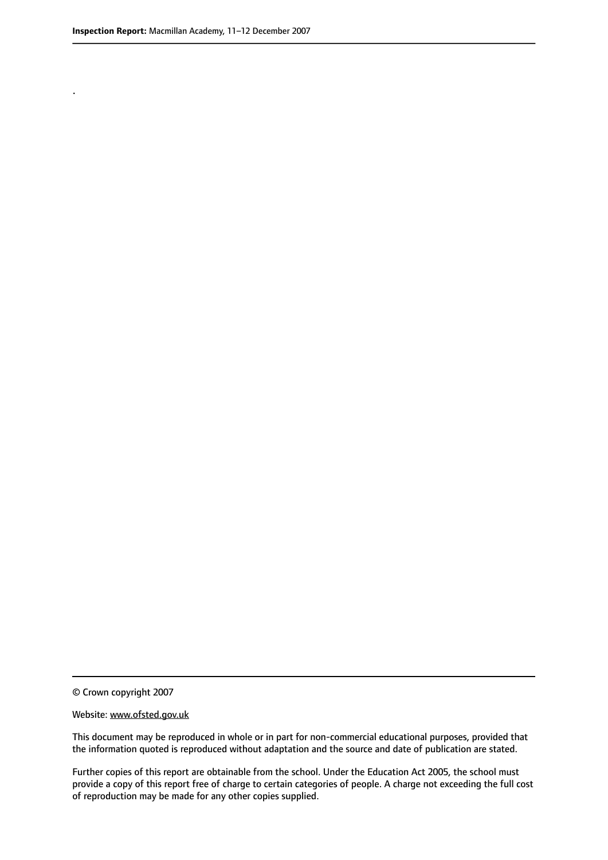.

This document may be reproduced in whole or in part for non-commercial educational purposes, provided that the information quoted is reproduced without adaptation and the source and date of publication are stated.

Further copies of this report are obtainable from the school. Under the Education Act 2005, the school must provide a copy of this report free of charge to certain categories of people. A charge not exceeding the full cost of reproduction may be made for any other copies supplied.

<sup>©</sup> Crown copyright 2007

Website: www.ofsted.gov.uk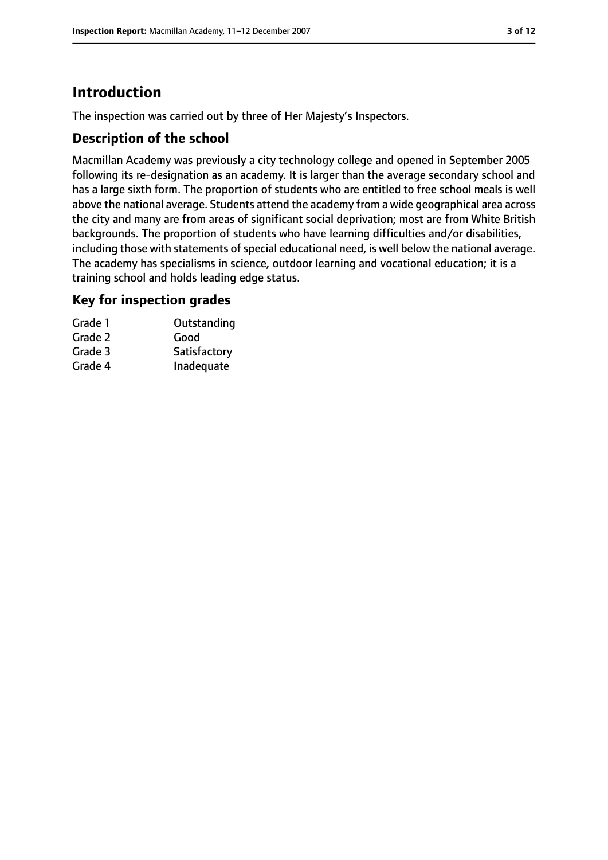# **Introduction**

The inspection was carried out by three of Her Majesty's Inspectors.

## **Description of the school**

Macmillan Academy was previously a city technology college and opened in September 2005 following its re-designation as an academy. It is larger than the average secondary school and has a large sixth form. The proportion of students who are entitled to free school meals is well above the national average. Students attend the academy from a wide geographical area across the city and many are from areas of significant social deprivation; most are from White British backgrounds. The proportion of students who have learning difficulties and/or disabilities, including those with statements of special educational need, is well below the national average. The academy has specialisms in science, outdoor learning and vocational education; it is a training school and holds leading edge status.

## **Key for inspection grades**

| Outstanding  |
|--------------|
|              |
| Satisfactory |
| Inadequate   |
|              |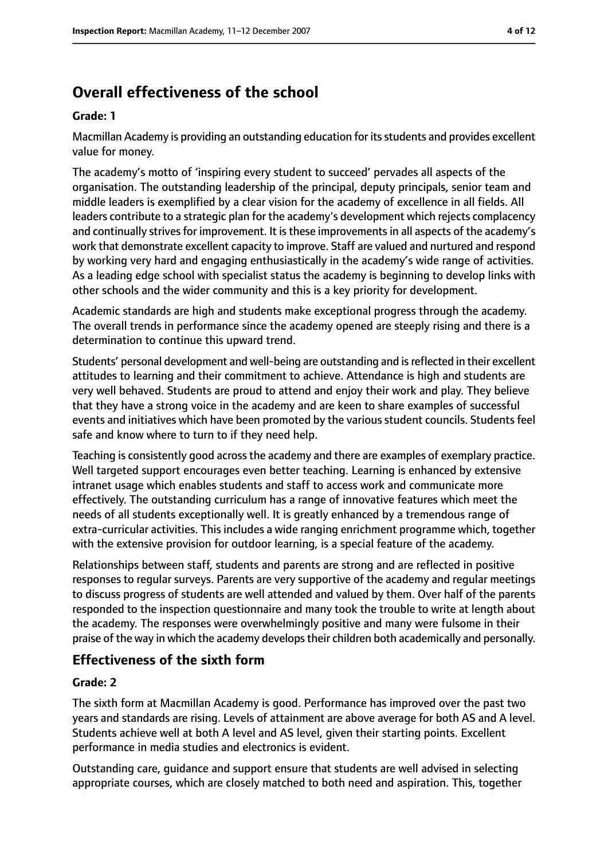# **Overall effectiveness of the school**

#### **Grade: 1**

Macmillan Academy is providing an outstanding education for itsstudents and provides excellent value for money.

The academy's motto of 'inspiring every student to succeed' pervades all aspects of the organisation. The outstanding leadership of the principal, deputy principals, senior team and middle leaders is exemplified by a clear vision for the academy of excellence in all fields. All leaders contribute to a strategic plan for the academy's development which rejects complacency and continually strives for improvement. It is these improvements in all aspects of the academy's work that demonstrate excellent capacity to improve. Staff are valued and nurtured and respond by working very hard and engaging enthusiastically in the academy's wide range of activities. As a leading edge school with specialist status the academy is beginning to develop links with other schools and the wider community and this is a key priority for development.

Academic standards are high and students make exceptional progress through the academy. The overall trends in performance since the academy opened are steeply rising and there is a determination to continue this upward trend.

Students' personal development and well-being are outstanding and isreflected in their excellent attitudes to learning and their commitment to achieve. Attendance is high and students are very well behaved. Students are proud to attend and enjoy their work and play. They believe that they have a strong voice in the academy and are keen to share examples of successful events and initiatives which have been promoted by the various student councils. Students feel safe and know where to turn to if they need help.

Teaching is consistently good across the academy and there are examples of exemplary practice. Well targeted support encourages even better teaching. Learning is enhanced by extensive intranet usage which enables students and staff to access work and communicate more effectively. The outstanding curriculum has a range of innovative features which meet the needs of all students exceptionally well. It is greatly enhanced by a tremendous range of extra-curricular activities. This includes a wide ranging enrichment programme which, together with the extensive provision for outdoor learning, is a special feature of the academy.

Relationships between staff, students and parents are strong and are reflected in positive responses to regular surveys. Parents are very supportive of the academy and regular meetings to discuss progress of students are well attended and valued by them. Over half of the parents responded to the inspection questionnaire and many took the trouble to write at length about the academy. The responses were overwhelmingly positive and many were fulsome in their praise of the way in which the academy develops their children both academically and personally.

## **Effectiveness of the sixth form**

#### **Grade: 2**

The sixth form at Macmillan Academy is good. Performance has improved over the past two years and standards are rising. Levels of attainment are above average for both AS and A level. Students achieve well at both A level and AS level, given their starting points. Excellent performance in media studies and electronics is evident.

Outstanding care, guidance and support ensure that students are well advised in selecting appropriate courses, which are closely matched to both need and aspiration. This, together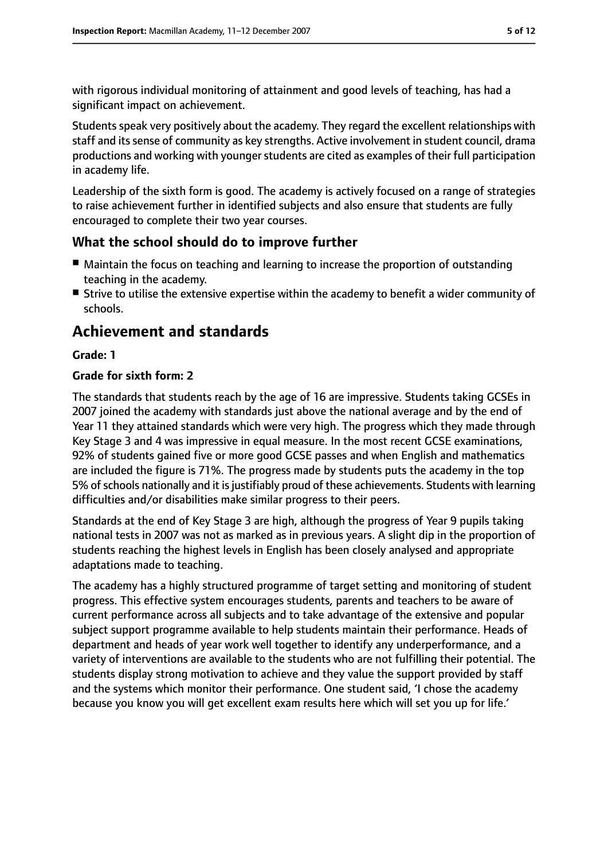with rigorous individual monitoring of attainment and good levels of teaching, has had a significant impact on achievement.

Students speak very positively about the academy. They regard the excellent relationships with staff and its sense of community as key strengths. Active involvement in student council, drama productions and working with younger students are cited as examples of their full participation in academy life.

Leadership of the sixth form is good. The academy is actively focused on a range of strategies to raise achievement further in identified subjects and also ensure that students are fully encouraged to complete their two year courses.

## **What the school should do to improve further**

- Maintain the focus on teaching and learning to increase the proportion of outstanding teaching in the academy.
- Strive to utilise the extensive expertise within the academy to benefit a wider community of schools.

# **Achievement and standards**

#### **Grade: 1**

#### **Grade for sixth form: 2**

The standards that students reach by the age of 16 are impressive. Students taking GCSEs in 2007 joined the academy with standards just above the national average and by the end of Year 11 they attained standards which were very high. The progress which they made through Key Stage 3 and 4 was impressive in equal measure. In the most recent GCSE examinations, 92% of students gained five or more good GCSE passes and when English and mathematics are included the figure is 71%. The progress made by students puts the academy in the top 5% of schools nationally and it is justifiably proud of these achievements. Students with learning difficulties and/or disabilities make similar progress to their peers.

Standards at the end of Key Stage 3 are high, although the progress of Year 9 pupils taking national tests in 2007 was not as marked as in previous years. A slight dip in the proportion of students reaching the highest levels in English has been closely analysed and appropriate adaptations made to teaching.

The academy has a highly structured programme of target setting and monitoring of student progress. This effective system encourages students, parents and teachers to be aware of current performance across all subjects and to take advantage of the extensive and popular subject support programme available to help students maintain their performance. Heads of department and heads of year work well together to identify any underperformance, and a variety of interventions are available to the students who are not fulfilling their potential. The students display strong motivation to achieve and they value the support provided by staff and the systems which monitor their performance. One student said, 'I chose the academy because you know you will get excellent exam results here which will set you up for life.'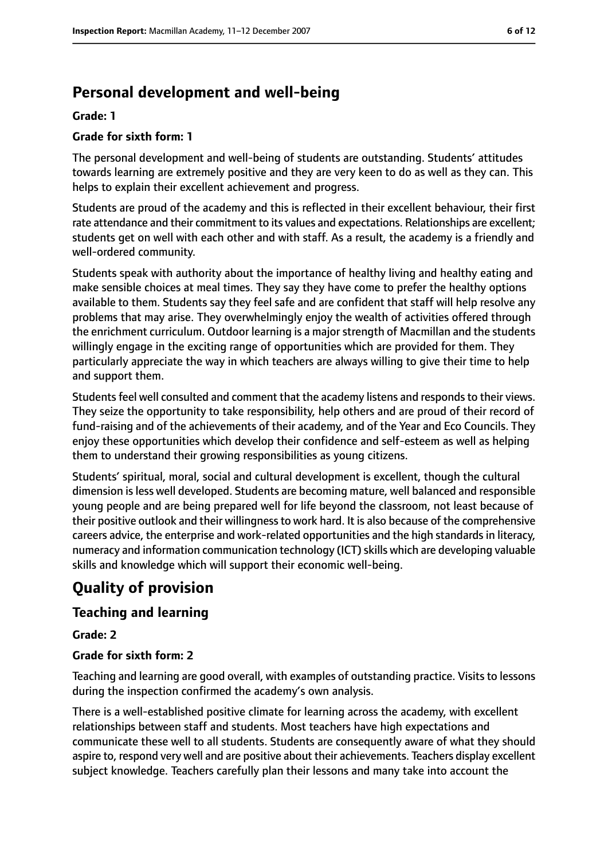# **Personal development and well-being**

#### **Grade: 1**

#### **Grade for sixth form: 1**

The personal development and well-being of students are outstanding. Students' attitudes towards learning are extremely positive and they are very keen to do as well as they can. This helps to explain their excellent achievement and progress.

Students are proud of the academy and this is reflected in their excellent behaviour, their first rate attendance and their commitment to its values and expectations. Relationships are excellent; students get on well with each other and with staff. As a result, the academy is a friendly and well-ordered community.

Students speak with authority about the importance of healthy living and healthy eating and make sensible choices at meal times. They say they have come to prefer the healthy options available to them. Students say they feel safe and are confident that staff will help resolve any problems that may arise. They overwhelmingly enjoy the wealth of activities offered through the enrichment curriculum. Outdoor learning is a major strength of Macmillan and the students willingly engage in the exciting range of opportunities which are provided for them. They particularly appreciate the way in which teachers are always willing to give their time to help and support them.

Students feel well consulted and comment that the academy listens and responds to their views. They seize the opportunity to take responsibility, help others and are proud of their record of fund-raising and of the achievements of their academy, and of the Year and Eco Councils. They enjoy these opportunities which develop their confidence and self-esteem as well as helping them to understand their growing responsibilities as young citizens.

Students' spiritual, moral, social and cultural development is excellent, though the cultural dimension isless well developed. Students are becoming mature, well balanced and responsible young people and are being prepared well for life beyond the classroom, not least because of their positive outlook and their willingnessto work hard. It is also because of the comprehensive careers advice, the enterprise and work-related opportunities and the high standards in literacy, numeracy and information communication technology (ICT) skills which are developing valuable skills and knowledge which will support their economic well-being.

# **Quality of provision**

## **Teaching and learning**

**Grade: 2**

#### **Grade for sixth form: 2**

Teaching and learning are good overall, with examples of outstanding practice. Visits to lessons during the inspection confirmed the academy's own analysis.

There is a well-established positive climate for learning across the academy, with excellent relationships between staff and students. Most teachers have high expectations and communicate these well to all students. Students are consequently aware of what they should aspire to, respond very well and are positive about their achievements. Teachers display excellent subject knowledge. Teachers carefully plan their lessons and many take into account the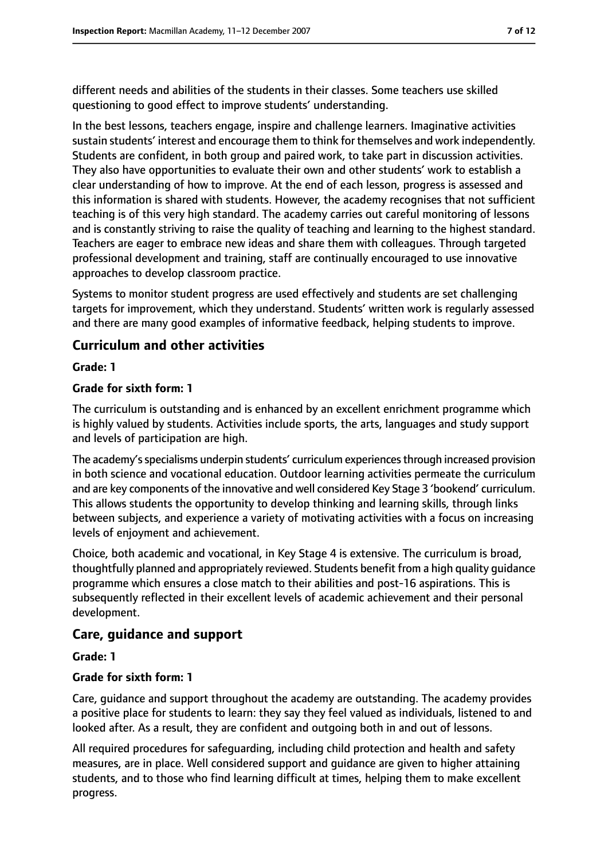different needs and abilities of the students in their classes. Some teachers use skilled questioning to good effect to improve students' understanding.

In the best lessons, teachers engage, inspire and challenge learners. Imaginative activities sustain students' interest and encourage them to think for themselves and work independently. Students are confident, in both group and paired work, to take part in discussion activities. They also have opportunities to evaluate their own and other students' work to establish a clear understanding of how to improve. At the end of each lesson, progress is assessed and this information is shared with students. However, the academy recognises that not sufficient teaching is of this very high standard. The academy carries out careful monitoring of lessons and is constantly striving to raise the quality of teaching and learning to the highest standard. Teachers are eager to embrace new ideas and share them with colleagues. Through targeted professional development and training, staff are continually encouraged to use innovative approaches to develop classroom practice.

Systems to monitor student progress are used effectively and students are set challenging targets for improvement, which they understand. Students' written work is regularly assessed and there are many good examples of informative feedback, helping students to improve.

## **Curriculum and other activities**

#### **Grade: 1**

#### **Grade for sixth form: 1**

The curriculum is outstanding and is enhanced by an excellent enrichment programme which is highly valued by students. Activities include sports, the arts, languages and study support and levels of participation are high.

The academy's specialisms underpin students' curriculum experiences through increased provision in both science and vocational education. Outdoor learning activities permeate the curriculum and are key components of the innovative and well considered Key Stage 3 'bookend' curriculum. This allows students the opportunity to develop thinking and learning skills, through links between subjects, and experience a variety of motivating activities with a focus on increasing levels of enjoyment and achievement.

Choice, both academic and vocational, in Key Stage 4 is extensive. The curriculum is broad, thoughtfully planned and appropriately reviewed. Students benefit from a high quality guidance programme which ensures a close match to their abilities and post-16 aspirations. This is subsequently reflected in their excellent levels of academic achievement and their personal development.

#### **Care, guidance and support**

#### **Grade: 1**

#### **Grade for sixth form: 1**

Care, guidance and support throughout the academy are outstanding. The academy provides a positive place for students to learn: they say they feel valued as individuals, listened to and looked after. As a result, they are confident and outgoing both in and out of lessons.

All required procedures for safeguarding, including child protection and health and safety measures, are in place. Well considered support and guidance are given to higher attaining students, and to those who find learning difficult at times, helping them to make excellent progress.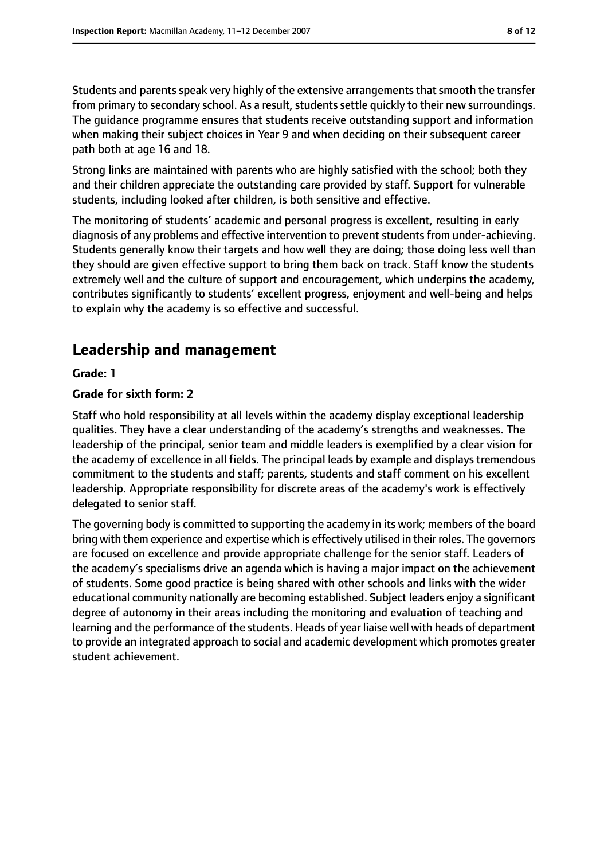Students and parents speak very highly of the extensive arrangements that smooth the transfer from primary to secondary school. As a result, students settle quickly to their new surroundings. The guidance programme ensures that students receive outstanding support and information when making their subject choices in Year 9 and when deciding on their subsequent career path both at age 16 and 18.

Strong links are maintained with parents who are highly satisfied with the school; both they and their children appreciate the outstanding care provided by staff. Support for vulnerable students, including looked after children, is both sensitive and effective.

The monitoring of students' academic and personal progress is excellent, resulting in early diagnosis of any problems and effective intervention to prevent students from under-achieving. Students generally know their targets and how well they are doing; those doing less well than they should are given effective support to bring them back on track. Staff know the students extremely well and the culture of support and encouragement, which underpins the academy, contributes significantly to students' excellent progress, enjoyment and well-being and helps to explain why the academy is so effective and successful.

# **Leadership and management**

#### **Grade: 1**

#### **Grade for sixth form: 2**

Staff who hold responsibility at all levels within the academy display exceptional leadership qualities. They have a clear understanding of the academy's strengths and weaknesses. The leadership of the principal, senior team and middle leaders is exemplified by a clear vision for the academy of excellence in all fields. The principal leads by example and displays tremendous commitment to the students and staff; parents, students and staff comment on his excellent leadership. Appropriate responsibility for discrete areas of the academy's work is effectively delegated to senior staff.

The governing body is committed to supporting the academy in its work; members of the board bring with them experience and expertise which is effectively utilised in their roles. The governors are focused on excellence and provide appropriate challenge for the senior staff. Leaders of the academy's specialisms drive an agenda which is having a major impact on the achievement of students. Some good practice is being shared with other schools and links with the wider educational community nationally are becoming established. Subject leaders enjoy a significant degree of autonomy in their areas including the monitoring and evaluation of teaching and learning and the performance of the students. Heads of year liaise well with heads of department to provide an integrated approach to social and academic development which promotes greater student achievement.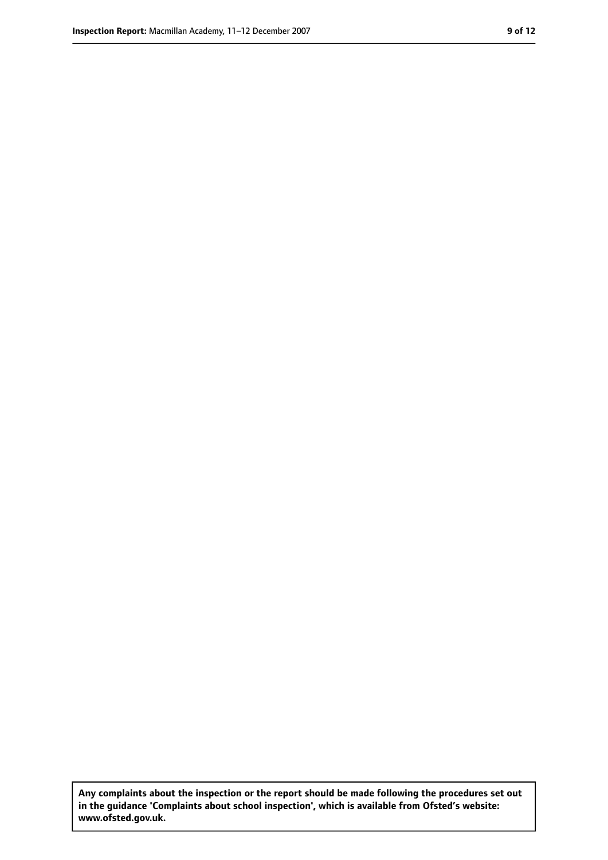**Any complaints about the inspection or the report should be made following the procedures set out in the guidance 'Complaints about school inspection', which is available from Ofsted's website: www.ofsted.gov.uk.**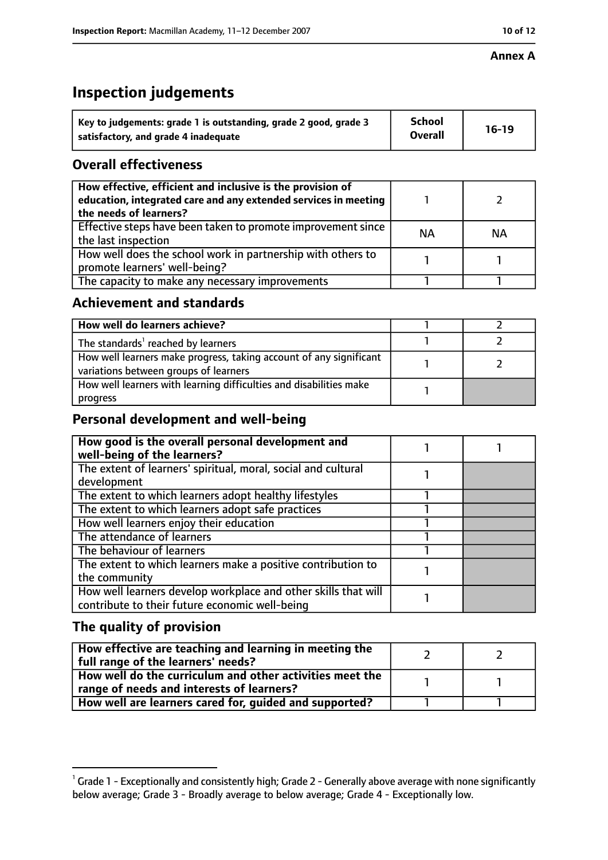## **Annex A**

# **Inspection judgements**

| Key to judgements: grade 1 is outstanding, grade 2 good, grade 3 | <b>School</b>  | $16-19$ |
|------------------------------------------------------------------|----------------|---------|
| satisfactory, and grade 4 inadequate                             | <b>Overall</b> |         |

## **Overall effectiveness**

| How effective, efficient and inclusive is the provision of<br>education, integrated care and any extended services in meeting<br>the needs of learners? |           |           |
|---------------------------------------------------------------------------------------------------------------------------------------------------------|-----------|-----------|
| Effective steps have been taken to promote improvement since<br>the last inspection                                                                     | <b>NA</b> | <b>NA</b> |
| How well does the school work in partnership with others to<br>promote learners' well-being?                                                            |           |           |
| The capacity to make any necessary improvements                                                                                                         |           |           |

## **Achievement and standards**

| How well do learners achieve?                                                                               |  |
|-------------------------------------------------------------------------------------------------------------|--|
| The standards <sup>1</sup> reached by learners                                                              |  |
| How well learners make progress, taking account of any significant<br>variations between groups of learners |  |
| How well learners with learning difficulties and disabilities make<br>progress                              |  |

# **Personal development and well-being**

| How good is the overall personal development and<br>well-being of the learners?                                  |  |
|------------------------------------------------------------------------------------------------------------------|--|
| The extent of learners' spiritual, moral, social and cultural                                                    |  |
| development                                                                                                      |  |
| The extent to which learners adopt healthy lifestyles                                                            |  |
| The extent to which learners adopt safe practices                                                                |  |
| How well learners enjoy their education                                                                          |  |
| The attendance of learners                                                                                       |  |
| The behaviour of learners                                                                                        |  |
| The extent to which learners make a positive contribution to                                                     |  |
| the community                                                                                                    |  |
| How well learners develop workplace and other skills that will<br>contribute to their future economic well-being |  |
|                                                                                                                  |  |

# **The quality of provision**

| How effective are teaching and learning in meeting the<br>full range of the learners' needs?          |  |
|-------------------------------------------------------------------------------------------------------|--|
| How well do the curriculum and other activities meet the<br>range of needs and interests of learners? |  |
| How well are learners cared for, guided and supported?                                                |  |

 $^1$  Grade 1 - Exceptionally and consistently high; Grade 2 - Generally above average with none significantly below average; Grade 3 - Broadly average to below average; Grade 4 - Exceptionally low.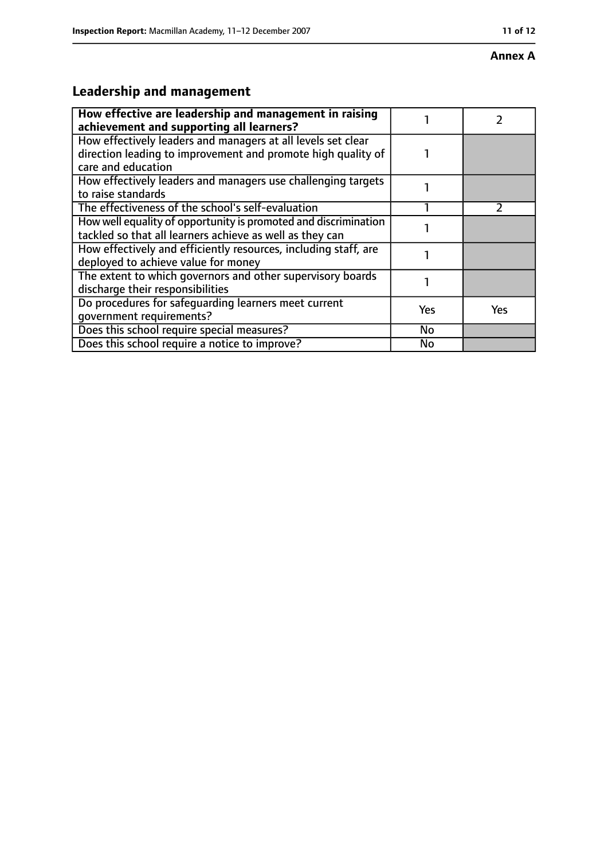#### **Annex A**

# **Leadership and management**

| How effective are leadership and management in raising<br>achievement and supporting all learners?                                                 |     |     |
|----------------------------------------------------------------------------------------------------------------------------------------------------|-----|-----|
| How effectively leaders and managers at all levels set clear<br>direction leading to improvement and promote high quality of<br>care and education |     |     |
| How effectively leaders and managers use challenging targets<br>to raise standards                                                                 |     |     |
| The effectiveness of the school's self-evaluation                                                                                                  |     |     |
| How well equality of opportunity is promoted and discrimination<br>tackled so that all learners achieve as well as they can                        |     |     |
| How effectively and efficiently resources, including staff, are<br>deployed to achieve value for money                                             |     |     |
| The extent to which governors and other supervisory boards<br>discharge their responsibilities                                                     |     |     |
| Do procedures for safequarding learners meet current<br>qovernment requirements?                                                                   | Yes | Yes |
| Does this school require special measures?                                                                                                         | No  |     |
| Does this school require a notice to improve?                                                                                                      | No  |     |